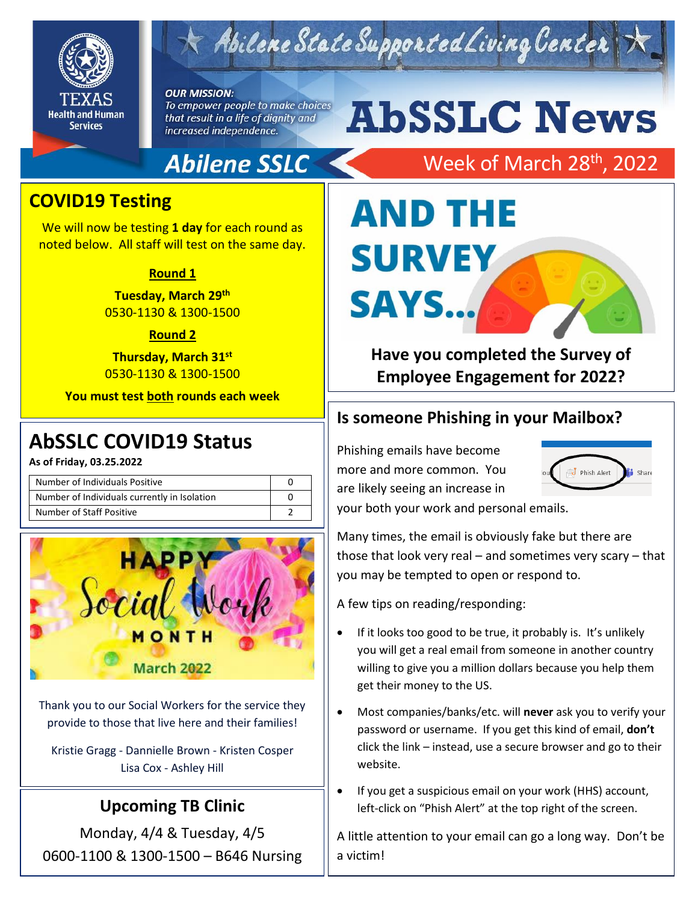

# Abilene State Supported Living Center

**OUR MISSION:** To empower people to make choices

that result in a life of dignity and increased independence.

## **Abilene SSLC**

# **AbSSLC News**

# Week of March 28<sup>th</sup>, 2022

### **COVID19 Testing**

We will now be testing **1 day** for each round as noted below. All staff will test on the same day.

#### **Round 1**

**Tuesday, March 29th** 0530-1130 & 1300-1500

#### **Round 2**

**Thursday, March 31st** 0530-1130 & 1300-1500

**You must test both rounds each week**

## 2019 **AbSSLC COVID19 Status**

**As of Friday, 03.25.2022**

| Number of Individuals Positive               |  |
|----------------------------------------------|--|
| Number of Individuals currently in Isolation |  |
| Number of Staff Positive                     |  |



Thank you to our Social Workers for the service they provide to those that live here and their families!

Kristie Gragg - Dannielle Brown - Kristen Cosper Lisa Cox - Ashley Hill

### **Upcoming TB Clinic**

Monday, 4/4 & Tuesday, 4/5 0600-1100 & 1300-1500 – B646 Nursing

# **AND THE SURVEY** SAYS..

### **Have you completed the Survey of Employee Engagement for 2022?**

#### **Is someone Phishing in your Mailbox?**

Phishing emails have become more and more common. You are likely seeing an increase in



your both your work and personal emails.

Many times, the email is obviously fake but there are those that look very real – and sometimes very scary – that you may be tempted to open or respond to.

A few tips on reading/responding:

- If it looks too good to be true, it probably is. It's unlikely you will get a real email from someone in another country willing to give you a million dollars because you help them get their money to the US.
- Most companies/banks/etc. will **never** ask you to verify your password or username. If you get this kind of email, **don't** click the link – instead, use a secure browser and go to their website.
- If you get a suspicious email on your work (HHS) account, left-click on "Phish Alert" at the top right of the screen.

A little attention to your email can go a long way. Don't be a victim!